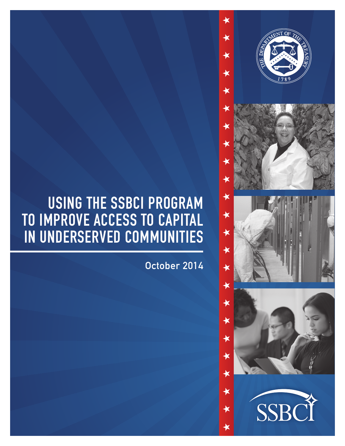# USING THE SSBCI PROGRAM TO IMPROVE ACCESS TO CAPITAL IN UNDERSERVED COMMUNITIES

October 2014

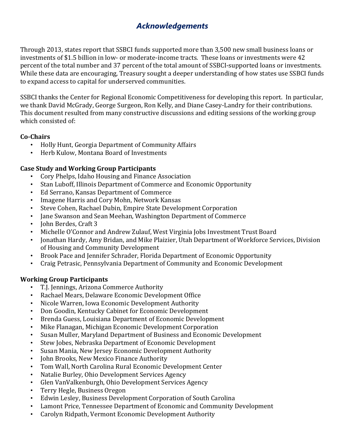# *Acknowledgements*

Through 2013, states report that SSBCI funds supported more than 3,500 new small business loans or investments of \$1.5 billion in low- or moderate-income tracts. These loans or investments were 42 percent of the total number and 37 percent of the total amount of SSBCI-supported loans or investments. While these data are encouraging, Treasury sought a deeper understanding of how states use SSBCI funds to expand access to capital for underserved communities.

SSBCI thanks the Center for Regional Economic Competitiveness for developing this report. In particular, we thank David McGrady, George Surgeon, Ron Kelly, and Diane Casey-Landry for their contributions. This document resulted from many constructive discussions and editing sessions of the working group which consisted of:

## **Co‐Chairs**

- Holly Hunt, Georgia Department of Community Affairs
- Herb Kulow, Montana Board of Investments

## **Case Study and Working Group Participants**

- Cory Phelps, Idaho Housing and Finance Association
- Stan Luboff, Illinois Department of Commerce and Economic Opportunity
- Ed Serrano, Kansas Department of Commerce
- Imagene Harris and Cory Mohn, Network Kansas
- Steve Cohen, Rachael Dubin, Empire State Development Corporation
- Jane Swanson and Sean Meehan, Washington Department of Commerce
- John Berdes, Craft 3
- Michelle O'Connor and Andrew Zulauf, West Virginia Jobs Investment Trust Board
- Jonathan Hardy, Amy Bridan, and Mike Plaizier, Utah Department of Workforce Services, Division of Housing and Community Development
- Brook Pace and Jennifer Schrader, Florida Department of Economic Opportunity
- Craig Petrasic, Pennsylvania Department of Community and Economic Development

#### **Working Group Participants**

- T.J. Jennings, Arizona Commerce Authority
- Rachael Mears, Delaware Economic Development Office
- Nicole Warren, Iowa Economic Development Authority
- Don Goodin, Kentucky Cabinet for Economic Development
- Brenda Guess, Louisiana Department of Economic Development
- Mike Flanagan, Michigan Economic Development Corporation
- Susan Muller, Maryland Department of Business and Economic Development
- Stew Jobes, Nebraska Department of Economic Development
- Susan Mania, New Jersey Economic Development Authority
- John Brooks, New Mexico Finance Authority
- Tom Wall, North Carolina Rural Economic Development Center
- Natalie Burley, Ohio Development Services Agency
- Glen VanValkenburgh, Ohio Development Services Agency
- Terry Hegle, Business Oregon
- Edwin Lesley, Business Development Corporation of South Carolina
- Lamont Price, Tennessee Department of Economic and Community Development
- Carolyn Ridpath, Vermont Economic Development Authority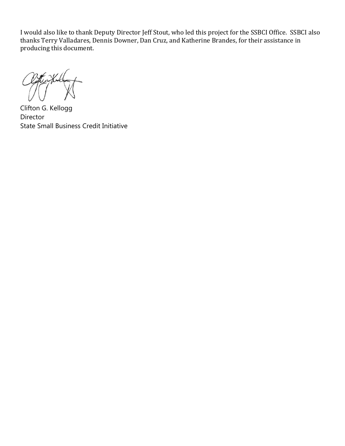I would also like to thank Deputy Director Jeff Stout, who led this project for the SSBCI Office. SSBCI also thanks Terry Valladares, Dennis Downer, Dan Cruz, and Katherine Brandes, for their assistance in producing this document.

Clifton G. Kellogg Director State Small Business Credit Initiative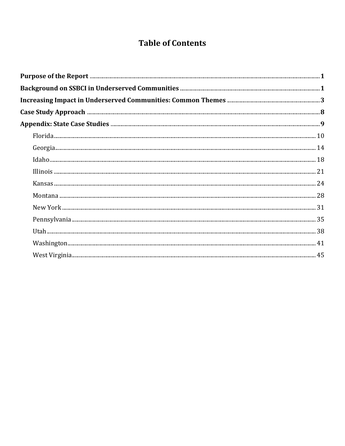# **Table of Contents**

| ر بالمستقدم بالمستقدم بالمستقدم بالمستقدم بالمستقدم بالمستقدم بالمستقدم بالمستقدم بالمستقدم بالمستقدم بالمستقد<br>18. سنة بالمستقدم بالمستقدم بالمستقدم بالمستقدم بالمستقدم بالمستقدم بالمستقدم بالمستقدم بالمستقدم بالمستقدم با |  |
|----------------------------------------------------------------------------------------------------------------------------------------------------------------------------------------------------------------------------------|--|
|                                                                                                                                                                                                                                  |  |
|                                                                                                                                                                                                                                  |  |
|                                                                                                                                                                                                                                  |  |
|                                                                                                                                                                                                                                  |  |
|                                                                                                                                                                                                                                  |  |
|                                                                                                                                                                                                                                  |  |
|                                                                                                                                                                                                                                  |  |
|                                                                                                                                                                                                                                  |  |
|                                                                                                                                                                                                                                  |  |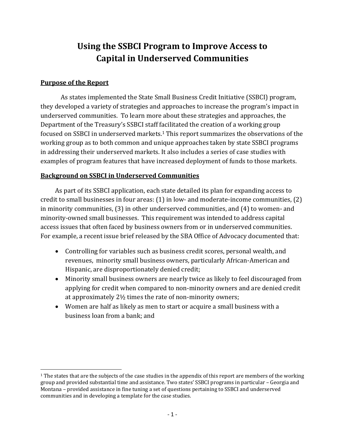# **Using the SSBCI Program to Improve Access to Capital in Underserved Communities**

## **Purpose of the Report**

As states implemented the State Small Business Credit Initiative (SSBCI) program, they developed a variety of strategies and approaches to increase the program's impact in underserved communities. To learn more about these strategies and approaches, the Department of the Treasury's SSBCI staff facilitated the creation of a working group focused on SSBCI in underserved markets.<sup>1</sup> This report summarizes the observations of the working group as to both common and unique approaches taken by state SSBCI programs in addressing their underserved markets. It also includes a series of case studies with examples of program features that have increased deployment of funds to those markets.

#### **Background on SSBCI in Underserved Communities**

As part of its SSBCI application, each state detailed its plan for expanding access to credit to small businesses in four areas:  $(1)$  in low- and moderate-income communities,  $(2)$ in minority communities,  $(3)$  in other underserved communities, and  $(4)$  to women- and minority-owned small businesses. This requirement was intended to address capital access issues that often faced by business owners from or in underserved communities. For example, a recent issue brief released by the SBA Office of Advocacy documented that:

- Controlling for variables such as business credit scores, personal wealth, and revenues, minority small business owners, particularly African-American and Hispanic, are disproportionately denied credit;
- Minority small business owners are nearly twice as likely to feel discouraged from applying for credit when compared to non-minority owners and are denied credit at approximately  $2\frac{1}{2}$  times the rate of non-minority owners;
- Women are half as likely as men to start or acquire a small business with a business loan from a bank; and

 $1$  The states that are the subjects of the case studies in the appendix of this report are members of the working group and provided substantial time and assistance. Two states' SSBCI programs in particular – Georgia and Montana – provided assistance in fine tuning a set of questions pertaining to SSBCI and underserved communities and in developing a template for the case studies.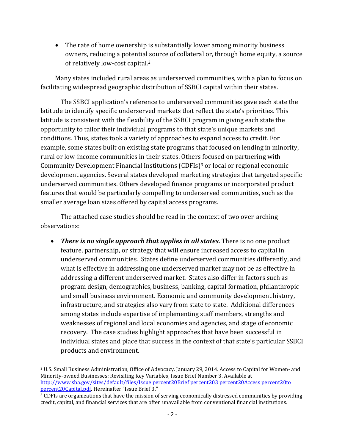• The rate of home ownership is substantially lower among minority business owners, reducing a potential source of collateral or, through home equity, a source of relatively low-cost capital.<sup>2</sup>

Many states included rural areas as underserved communities, with a plan to focus on facilitating widespread geographic distribution of SSBCI capital within their states.

The SSBCI application's reference to underserved communities gave each state the latitude to identify specific underserved markets that reflect the state's priorities. This latitude is consistent with the flexibility of the SSBCI program in giving each state the opportunity to tailor their individual programs to that state's unique markets and conditions. Thus, states took a variety of approaches to expand access to credit. For example, some states built on existing state programs that focused on lending in minority, rural or low-income communities in their states. Others focused on partnering with Community Development Financial Institutions (CDFIs)<sup>3</sup> or local or regional economic development agencies. Several states developed marketing strategies that targeted specific underserved communities. Others developed finance programs or incorporated product features that would be particularly compelling to underserved communities, such as the smaller average loan sizes offered by capital access programs.

The attached case studies should be read in the context of two over-arching observations: 

• There is no single approach that applies in all states. There is no one product feature, partnership, or strategy that will ensure increased access to capital in underserved communities. States define underserved communities differently, and what is effective in addressing one underserved market may not be as effective in addressing a different underserved market. States also differ in factors such as program design, demographics, business, banking, capital formation, philanthropic and small business environment. Economic and community development history, infrastructure, and strategies also vary from state to state. Additional differences among states include expertise of implementing staff members, strengths and weaknesses of regional and local economies and agencies, and stage of economic recovery. The case studies highlight approaches that have been successful in individual states and place that success in the context of that state's particular SSBCI products and environment.

<sup>&</sup>lt;sup>2</sup> U.S. Small Business Administration, Office of Advocacy. January 29, 2014. Access to Capital for Women- and Minority-owned Businesses: Revisiting Key Variables, Issue Brief Number 3. Available at http://www.sba.gov/sites/default/files/Issue percent20Brief percent203 percent20Access percent20to percent20Capital.pdf. Hereinafter "Issue Brief 3."

 $\frac{3}{3}$  CDFIs are organizations that have the mission of serving economically distressed communities by providing credit, capital, and financial services that are often unavailable from conventional financial institutions.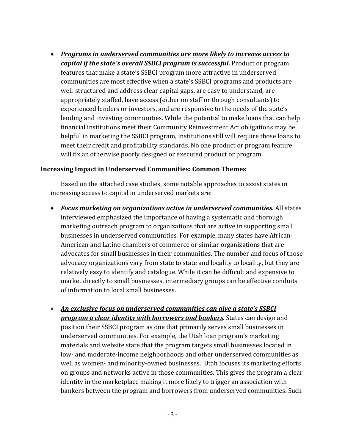*Programs in underserved communities are more likely to increase access to capital if the state's overall SSBCI program is successful.* Product or program features that make a state's SSBCI program more attractive in underserved communities are most effective when a state's SSBCI programs and products are well-structured and address clear capital gaps, are easy to understand, are appropriately staffed, have access (either on staff or through consultants) to experienced lenders or investors, and are responsive to the needs of the state's lending and investing communities. While the potential to make loans that can help financial institutions meet their Community Reinvestment Act obligations may be helpful in marketing the SSBCI program, institutions still will require those loans to meet their credit and profitability standards. No one product or program feature will fix an otherwise poorly designed or executed product or program.

#### **Increasing Impact in Underserved Communities: Common Themes**

Based on the attached case studies, some notable approaches to assist states in increasing access to capital in underserved markets are:

- *Focus marketing on organizations active in underserved communities.* All states interviewed emphasized the importance of having a systematic and thorough marketing outreach program to organizations that are active in supporting small businesses in underserved communities. For example, many states have African-American and Latino chambers of commerce or similar organizations that are advocates for small businesses in their communities. The number and focus of those advocacy organizations vary from state to state and locality to locality, but they are relatively easy to identify and catalogue. While it can be difficult and expensive to market directly to small businesses, intermediary groups can be effective conduits of information to local small businesses.
- *An exclusive focus on underserved communities can give a state's SSBCI program a clear identity with borrowers and bankers.* States can design and position their SSBCI program as one that primarily serves small businesses in underserved communities. For example, the Utah loan program's marketing materials and website state that the program targets small businesses located in low- and moderate-income neighborhoods and other underserved communities as well as women- and minority-owned businesses. Utah focuses its marketing efforts on groups and networks active in those communities. This gives the program a clear identity in the marketplace making it more likely to trigger an association with bankers between the program and borrowers from underserved communities. Such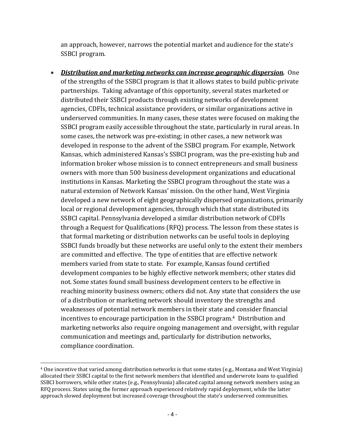an approach, however, narrows the potential market and audience for the state's SSBCI program.

 *Distribution and marketing networks can increase geographic dispersion.* One of the strengths of the SSBCI program is that it allows states to build public-private partnerships. Taking advantage of this opportunity, several states marketed or distributed their SSBCI products through existing networks of development agencies, CDFIs, technical assistance providers, or similar organizations active in underserved communities. In many cases, these states were focused on making the SSBCI program easily accessible throughout the state, particularly in rural areas. In some cases, the network was pre-existing; in other cases, a new network was developed in response to the advent of the SSBCI program. For example, Network Kansas, which administered Kansas's SSBCI program, was the pre-existing hub and information broker whose mission is to connect entrepreneurs and small business owners with more than 500 business development organizations and educational institutions in Kansas. Marketing the SSBCI program throughout the state was a natural extension of Network Kansas' mission. On the other hand, West Virginia developed a new network of eight geographically dispersed organizations, primarily local or regional development agencies, through which that state distributed its SSBCI capital. Pennsylvania developed a similar distribution network of CDFIs through a Request for Qualifications  $(RFQ)$  process. The lesson from these states is that formal marketing or distribution networks can be useful tools in deploying SSBCI funds broadly but these networks are useful only to the extent their members are committed and effective. The type of entities that are effective network members varied from state to state. For example, Kansas found certified development companies to be highly effective network members; other states did not. Some states found small business development centers to be effective in reaching minority business owners; others did not. Any state that considers the use of a distribution or marketing network should inventory the strengths and weaknesses of potential network members in their state and consider financial incentives to encourage participation in the SSBCI program.<sup>4</sup> Distribution and marketing networks also require ongoing management and oversight, with regular communication and meetings and, particularly for distribution networks, compliance coordination.

<sup>&</sup>lt;sup>4</sup> One incentive that varied among distribution networks is that some states (e.g., Montana and West Virginia) allocated their SSBCI capital to the first network members that identified and underwrote loans to qualified SSBCI borrowers, while other states (e.g., Pennsylvania) allocated capital among network members using an RFQ process. States using the former approach experienced relatively rapid deployment, while the latter approach slowed deployment but increased coverage throughout the state's underserved communities.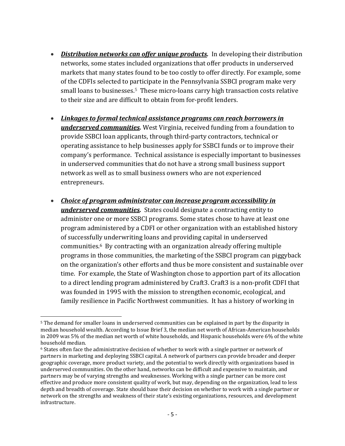- *Distribution networks can offer unique products.* In developing their distribution networks, some states included organizations that offer products in underserved markets that many states found to be too costly to offer directly. For example, some of the CDFIs selected to participate in the Pennsylvania SSBCI program make very small loans to businesses.<sup>5</sup> These micro-loans carry high transaction costs relative to their size and are difficult to obtain from for-profit lenders.
- *Linkages to formal technical assistance programs can reach borrowers in* **underserved communities.** West Virginia, received funding from a foundation to provide SSBCI loan applicants, through third-party contractors, technical or operating assistance to help businesses apply for SSBCI funds or to improve their company's performance. Technical assistance is especially important to businesses in underserved communities that do not have a strong small business support network as well as to small business owners who are not experienced entrepreneurs.
- *Choice of program administrator can increase program accessibility in* **underserved communities.** States could designate a contracting entity to administer one or more SSBCI programs. Some states chose to have at least one program administered by a CDFI or other organization with an established history of successfully underwriting loans and providing capital in underserved communities. $6$  By contracting with an organization already offering multiple programs in those communities, the marketing of the SSBCI program can piggyback on the organization's other efforts and thus be more consistent and sustainable over time. For example, the State of Washington chose to apportion part of its allocation to a direct lending program administered by Craft3. Craft3 is a non-profit CDFI that was founded in 1995 with the mission to strengthen economic, ecological, and family resilience in Pacific Northwest communities. It has a history of working in

 <sup>5</sup> The demand for smaller loans in underserved communities can be explained in part by the disparity in median household wealth. According to Issue Brief 3, the median net worth of African-American households in 2009 was 5% of the median net worth of white households, and Hispanic households were 6% of the white household median.

 $6$  States often face the administrative decision of whether to work with a single partner or network of partners in marketing and deploying SSBCI capital. A network of partners can provide broader and deeper geographic coverage, more product variety, and the potential to work directly with organizations based in underserved communities. On the other hand, networks can be difficult and expensive to maintain, and partners may be of varying strengths and weaknesses. Working with a single partner can be more cost effective and produce more consistent quality of work, but may, depending on the organization, lead to less depth and breadth of coverage. State should base their decision on whether to work with a single partner or network on the strengths and weakness of their state's existing organizations, resources, and development infrastructure.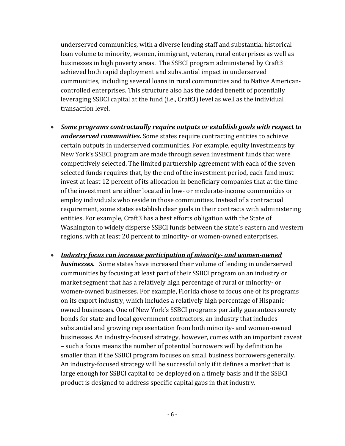underserved communities, with a diverse lending staff and substantial historical loan volume to minority, women, immigrant, veteran, rural enterprises as well as businesses in high poverty areas. The SSBCI program administered by Craft3 achieved both rapid deployment and substantial impact in underserved communities, including several loans in rural communities and to Native Americancontrolled enterprises. This structure also has the added benefit of potentially leveraging SSBCI capital at the fund (i.e., Craft3) level as well as the individual transaction level.

- *Some programs contractually require outputs or establish goals with respect to* **underserved communities.** Some states require contracting entities to achieve certain outputs in underserved communities. For example, equity investments by New York's SSBCI program are made through seven investment funds that were competitively selected. The limited partnership agreement with each of the seven selected funds requires that, by the end of the investment period, each fund must invest at least 12 percent of its allocation in beneficiary companies that at the time of the investment are either located in low- or moderate-income communities or employ individuals who reside in those communities. Instead of a contractual requirement, some states establish clear goals in their contracts with administering entities. For example, Craft3 has a best efforts obligation with the State of Washington to widely disperse SSBCI funds between the state's eastern and western regions, with at least 20 percent to minority- or women-owned enterprises.
- *Industry focus can increase participation of minority‐ and women‐owned* **businesses.** Some states have increased their volume of lending in underserved communities by focusing at least part of their SSBCI program on an industry or market segment that has a relatively high percentage of rural or minority- or women-owned businesses. For example, Florida chose to focus one of its programs on its export industry, which includes a relatively high percentage of Hispanicowned businesses. One of New York's SSBCI programs partially guarantees surety bonds for state and local government contractors, an industry that includes substantial and growing representation from both minority- and women-owned businesses. An industry-focused strategy, however, comes with an important caveat – such a focus means the number of potential borrowers will by definition be smaller than if the SSBCI program focuses on small business borrowers generally. An industry-focused strategy will be successful only if it defines a market that is large enough for SSBCI capital to be deployed on a timely basis and if the SSBCI product is designed to address specific capital gaps in that industry.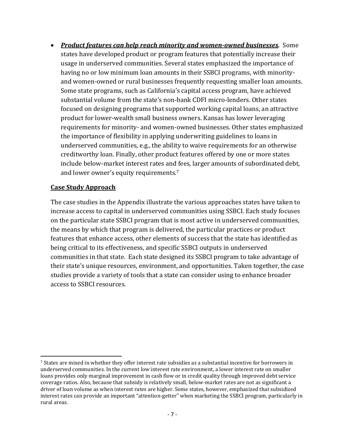*Product features can help reach minority and women‐owned businesses.* Some states have developed product or program features that potentially increase their usage in underserved communities. Several states emphasized the importance of having no or low minimum loan amounts in their SSBCI programs, with minorityand women-owned or rural businesses frequently requesting smaller loan amounts. Some state programs, such as California's capital access program, have achieved substantial volume from the state's non-bank CDFI micro-lenders. Other states focused on designing programs that supported working capital loans, an attractive product for lower-wealth small business owners. Kansas has lower leveraging requirements for minority- and women-owned businesses. Other states emphasized the importance of flexibility in applying underwriting guidelines to loans in underserved communities, e.g., the ability to waive requirements for an otherwise creditworthy loan. Finally, other product features offered by one or more states include below-market interest rates and fees, larger amounts of subordinated debt, and lower owner's equity requirements.<sup>7</sup>

## **Case Study Approach**

The case studies in the Appendix illustrate the various approaches states have taken to increase access to capital in underserved communities using SSBCI. Each study focuses on the particular state SSBCI program that is most active in underserved communities, the means by which that program is delivered, the particular practices or product features that enhance access, other elements of success that the state has identified as being critical to its effectiveness, and specific SSBCI outputs in underserved communities in that state. Each state designed its SSBCI program to take advantage of their state's unique resources, environment, and opportunities. Taken together, the case studies provide a variety of tools that a state can consider using to enhance broader access to SSBCI resources.

<sup>&</sup>lt;sup>7</sup> States are mixed in whether they offer interest rate subsidies as a substantial incentive for borrowers in underserved communities. In the current low interest rate environment, a lower interest rate on smaller loans provides only marginal improvement in cash flow or in credit quality through improved debt service coverage ratios. Also, because that subsidy is relatively small, below-market rates are not as significant a driver of loan volume as when interest rates are higher. Some states, however, emphasized that subsidized interest rates can provide an important "attention-getter" when marketing the SSBCI program, particularly in rural areas.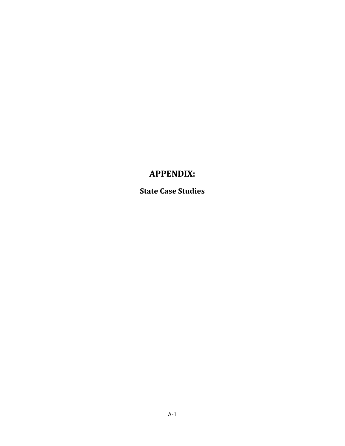# **APPENDIX:**

**State Case Studies**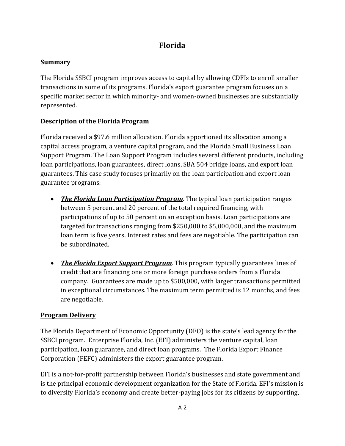# **Florida**

## **Summary**

The Florida SSBCI program improves access to capital by allowing CDFIs to enroll smaller transactions in some of its programs. Florida's export guarantee program focuses on a specific market sector in which minority- and women-owned businesses are substantially represented. 

## **Description of the Florida Program**

Florida received a \$97.6 million allocation. Florida apportioned its allocation among a capital access program, a venture capital program, and the Florida Small Business Loan Support Program. The Loan Support Program includes several different products, including loan participations, loan guarantees, direct loans, SBA 504 bridge loans, and export loan guarantees. This case study focuses primarily on the loan participation and export loan guarantee programs:

- The Florida *Loan Participation Program*. The typical loan participation ranges between 5 percent and 20 percent of the total required financing, with participations of up to 50 percent on an exception basis. Loan participations are targeted for transactions ranging from  $$250,000$  to  $$5,000,000$ , and the maximum loan term is five years. Interest rates and fees are negotiable. The participation can be subordinated.
- The Florida *Export Support Program*. This program typically guarantees lines of credit that are financing one or more foreign purchase orders from a Florida company. Guarantees are made up to \$500,000, with larger transactions permitted in exceptional circumstances. The maximum term permitted is 12 months, and fees are negotiable.

## **Program Delivery**

The Florida Department of Economic Opportunity (DEO) is the state's lead agency for the SSBCI program. Enterprise Florida, Inc. (EFI) administers the venture capital, loan participation, loan guarantee, and direct loan programs. The Florida Export Finance Corporation (FEFC) administers the export guarantee program.

EFI is a not-for-profit partnership between Florida's businesses and state government and is the principal economic development organization for the State of Florida. EFI's mission is to diversify Florida's economy and create better-paying jobs for its citizens by supporting,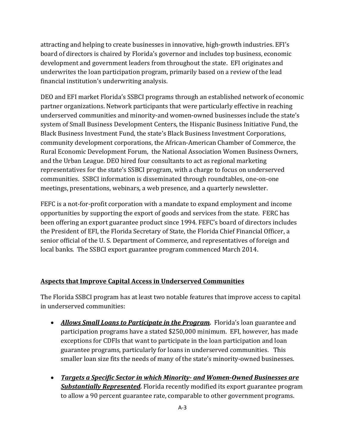attracting and helping to create businesses in innovative, high-growth industries. EFI's board of directors is chaired by Florida's governor and includes top business, economic development and government leaders from throughout the state. EFI originates and underwrites the loan participation program, primarily based on a review of the lead financial institution's underwriting analysis.

DEO and EFI market Florida's SSBCI programs through an established network of economic partner organizations. Network participants that were particularly effective in reaching underserved communities and minority-and women-owned businesses include the state's system of Small Business Development Centers, the Hispanic Business Initiative Fund, the Black Business Investment Fund, the state's Black Business Investment Corporations, community development corporations, the African-American Chamber of Commerce, the Rural Economic Development Forum, the National Association Women Business Owners, and the Urban League. DEO hired four consultants to act as regional marketing representatives for the state's SSBCI program, with a charge to focus on underserved communities. SSBCI information is disseminated through roundtables, one-on-one meetings, presentations, webinars, a web presence, and a quarterly newsletter.

FEFC is a not-for-profit corporation with a mandate to expand employment and income opportunities by supporting the export of goods and services from the state. FERC has been offering an export guarantee product since 1994. FEFC's board of directors includes the President of EFI, the Florida Secretary of State, the Florida Chief Financial Officer, a senior official of the U.S. Department of Commerce, and representatives of foreign and local banks. The SSBCI export guarantee program commenced March 2014.

## **Aspects that Improve Capital Access in Underserved Communities**

The Florida SSBCI program has at least two notable features that improve access to capital in underserved communities:

- Allows *Small Loans to Participate in the Program.* Florida's loan guarantee and participation programs have a stated \$250,000 minimum. EFI, however, has made exceptions for CDFIs that want to participate in the loan participation and loan guarantee programs, particularly for loans in underserved communities. This smaller loan size fits the needs of many of the state's minority-owned businesses.
- *Targets a Specific Sector in which Minority‐ and Women‐Owned Businesses are* **Substantially Represented.** Florida recently modified its export guarantee program to allow a 90 percent guarantee rate, comparable to other government programs.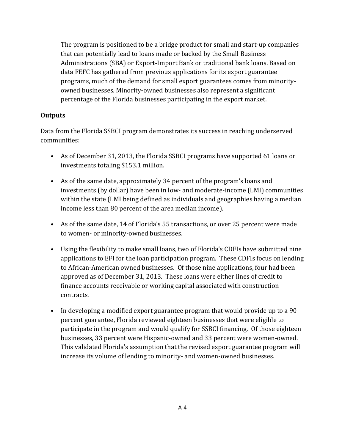The program is positioned to be a bridge product for small and start-up companies that can potentially lead to loans made or backed by the Small Business Administrations (SBA) or Export-Import Bank or traditional bank loans. Based on data FEFC has gathered from previous applications for its export guarantee programs, much of the demand for small export guarantees comes from minorityowned businesses. Minority-owned businesses also represent a significant percentage of the Florida businesses participating in the export market.

#### **Outputs**

Data from the Florida SSBCI program demonstrates its success in reaching underserved communities: 

- As of December 31, 2013, the Florida SSBCI programs have supported 61 loans or investments totaling \$153.1 million.
- As of the same date, approximately 34 percent of the program's loans and investments (by dollar) have been in low- and moderate-income (LMI) communities within the state (LMI being defined as individuals and geographies having a median income less than 80 percent of the area median income).
- As of the same date, 14 of Florida's 55 transactions, or over 25 percent were made to women- or minority-owned businesses.
- Using the flexibility to make small loans, two of Florida's CDFIs have submitted nine applications to EFI for the loan participation program. These CDFIs focus on lending to African-American owned businesses. Of those nine applications, four had been approved as of December 31, 2013. These loans were either lines of credit to finance accounts receivable or working capital associated with construction contracts.
- In developing a modified export guarantee program that would provide up to a 90 percent guarantee, Florida reviewed eighteen businesses that were eligible to participate in the program and would qualify for SSBCI financing. Of those eighteen businesses, 33 percent were Hispanic-owned and 33 percent were women-owned. This validated Florida's assumption that the revised export guarantee program will increase its volume of lending to minority- and women-owned businesses.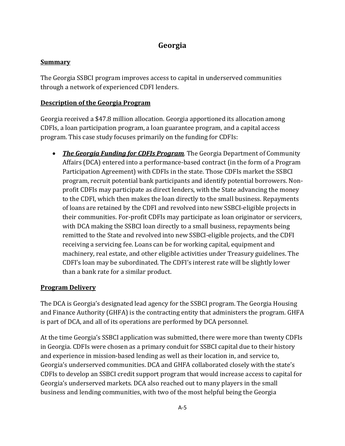# **Georgia**

## **Summary**

The Georgia SSBCI program improves access to capital in underserved communities through a network of experienced CDFI lenders.

## **Description of the Georgia Program**

Georgia received a \$47.8 million allocation. Georgia apportioned its allocation among CDFIs, a loan participation program, a loan guarantee program, and a capital access program. This case study focuses primarily on the funding for CDFIs:

• The Georgia Funding for CDFIs Program. The Georgia Department of Community Affairs (DCA) entered into a performance-based contract (in the form of a Program Participation Agreement) with CDFIs in the state. Those CDFIs market the SSBCI program, recruit potential bank participants and identify potential borrowers. Nonprofit CDFIs may participate as direct lenders, with the State advancing the money to the CDFI, which then makes the loan directly to the small business. Repayments of loans are retained by the CDFI and revolved into new SSBCI-eligible projects in their communities. For-profit CDFIs may participate as loan originator or servicers, with DCA making the SSBCI loan directly to a small business, repayments being remitted to the State and revolved into new SSBCI-eligible projects, and the CDFI receiving a servicing fee. Loans can be for working capital, equipment and machinery, real estate, and other eligible activities under Treasury guidelines. The CDFI's loan may be subordinated. The CDFI's interest rate will be slightly lower than a bank rate for a similar product.

## **Program Delivery**

The DCA is Georgia's designated lead agency for the SSBCI program. The Georgia Housing and Finance Authority (GHFA) is the contracting entity that administers the program. GHFA is part of DCA, and all of its operations are performed by DCA personnel.

At the time Georgia's SSBCI application was submitted, there were more than twenty CDFIs in Georgia. CDFIs were chosen as a primary conduit for SSBCI capital due to their history and experience in mission-based lending as well as their location in, and service to, Georgia's underserved communities. DCA and GHFA collaborated closely with the state's CDFIs to develop an SSBCI credit support program that would increase access to capital for Georgia's underserved markets. DCA also reached out to many players in the small business and lending communities, with two of the most helpful being the Georgia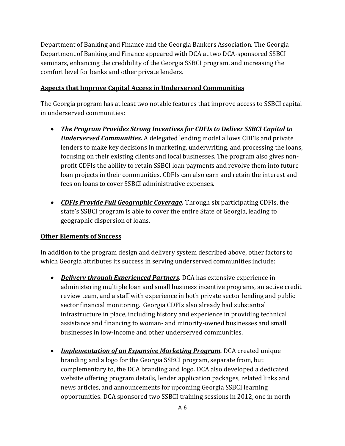Department of Banking and Finance and the Georgia Bankers Association. The Georgia Department of Banking and Finance appeared with DCA at two DCA-sponsored SSBCI seminars, enhancing the credibility of the Georgia SSBCI program, and increasing the comfort level for banks and other private lenders.

#### **Aspects that Improve Capital Access in Underserved Communities**

The Georgia program has at least two notable features that improve access to SSBCI capital in underserved communities:

- *The Program Provides Strong Incentives for CDFIs to Deliver SSBCI Capital to Underserved Communities.* A delegated lending model allows CDFIs and private lenders to make key decisions in marketing, underwriting, and processing the loans, focusing on their existing clients and local businesses. The program also gives nonprofit CDFIs the ability to retain SSBCI loan payments and revolve them into future loan projects in their communities. CDFIs can also earn and retain the interest and fees on loans to cover SSBCI administrative expenses.
- CDFIs Provide Full *Geographic Coverage*. Through six participating CDFIs, the state's SSBCI program is able to cover the entire State of Georgia, leading to geographic dispersion of loans.

#### **Other Elements of Success**

In addition to the program design and delivery system described above, other factors to which Georgia attributes its success in serving underserved communities include:

- Delivery *through Experienced Partners.* DCA has extensive experience in administering multiple loan and small business incentive programs, an active credit review team, and a staff with experience in both private sector lending and public sector financial monitoring. Georgia CDFIs also already had substantial infrastructure in place, including history and experience in providing technical assistance and financing to woman- and minority-owned businesses and small businesses in low-income and other underserved communities.
- *Implementation of an Expansive Marketing Program.* DCA created unique branding and a logo for the Georgia SSBCI program, separate from, but complementary to, the DCA branding and logo. DCA also developed a dedicated website offering program details, lender application packages, related links and news articles, and announcements for upcoming Georgia SSBCI learning opportunities. DCA sponsored two SSBCI training sessions in 2012, one in north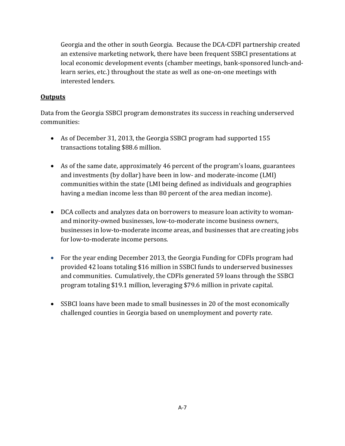Georgia and the other in south Georgia. Because the DCA-CDFI partnership created an extensive marketing network, there have been frequent SSBCI presentations at local economic development events (chamber meetings, bank-sponsored lunch-andlearn series, etc.) throughout the state as well as one-on-one meetings with interested lenders.

#### **Outputs**

Data from the Georgia SSBCI program demonstrates its success in reaching underserved communities: 

- As of December 31, 2013, the Georgia SSBCI program had supported 155 transactions totaling \$88.6 million.
- As of the same date, approximately 46 percent of the program's loans, guarantees and investments (by dollar) have been in low- and moderate-income (LMI) communities within the state (LMI being defined as individuals and geographies having a median income less than 80 percent of the area median income).
- DCA collects and analyzes data on borrowers to measure loan activity to womanand minority-owned businesses, low-to-moderate income business owners, businesses in low-to-moderate income areas, and businesses that are creating jobs for low-to-moderate income persons.
- For the year ending December 2013, the Georgia Funding for CDFIs program had provided 42 loans totaling \$16 million in SSBCI funds to underserved businesses and communities. Cumulatively, the CDFIs generated 59 loans through the SSBCI program totaling \$19.1 million, leveraging \$79.6 million in private capital.
- SSBCI loans have been made to small businesses in 20 of the most economically challenged counties in Georgia based on unemployment and poverty rate.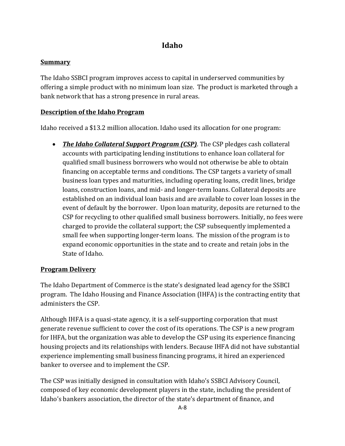# **Idaho**

## **Summary**

The Idaho SSBCI program improves access to capital in underserved communities by offering a simple product with no minimum loan size. The product is marketed through a bank network that has a strong presence in rural areas.

## **Description of the Idaho Program**

Idaho received a  $$13.2$  million allocation. Idaho used its allocation for one program:

• The *Idaho Collateral Support Program <i>(CSP)*. The CSP pledges cash collateral accounts with participating lending institutions to enhance loan collateral for qualified small business borrowers who would not otherwise be able to obtain financing on acceptable terms and conditions. The CSP targets a variety of small business loan types and maturities, including operating loans, credit lines, bridge loans, construction loans, and mid- and longer-term loans. Collateral deposits are established on an individual loan basis and are available to cover loan losses in the event of default by the borrower. Upon loan maturity, deposits are returned to the CSP for recycling to other qualified small business borrowers. Initially, no fees were charged to provide the collateral support; the CSP subsequently implemented a small fee when supporting longer-term loans. The mission of the program is to expand economic opportunities in the state and to create and retain jobs in the State of Idaho.

## **Program Delivery**

The Idaho Department of Commerce is the state's designated lead agency for the SSBCI program. The Idaho Housing and Finance Association (IHFA) is the contracting entity that administers the CSP.

Although IHFA is a quasi-state agency, it is a self-supporting corporation that must generate revenue sufficient to cover the cost of its operations. The CSP is a new program for IHFA, but the organization was able to develop the CSP using its experience financing housing projects and its relationships with lenders. Because IHFA did not have substantial experience implementing small business financing programs, it hired an experienced banker to oversee and to implement the CSP.

The CSP was initially designed in consultation with Idaho's SSBCI Advisory Council, composed of key economic development players in the state, including the president of Idaho's bankers association, the director of the state's department of finance, and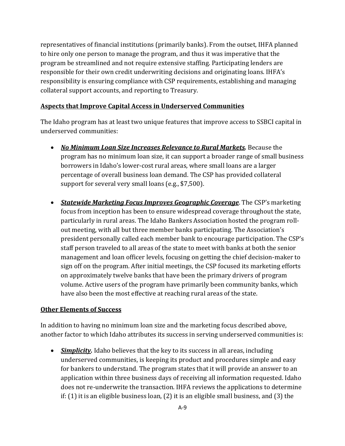representatives of financial institutions (primarily banks). From the outset, IHFA planned to hire only one person to manage the program, and thus it was imperative that the program be streamlined and not require extensive staffing. Participating lenders are responsible for their own credit underwriting decisions and originating loans. IHFA's responsibility is ensuring compliance with CSP requirements, establishing and managing collateral support accounts, and reporting to Treasury.

#### **Aspects that Improve Capital Access in Underserved Communities**

The Idaho program has at least two unique features that improve access to SSBCI capital in underserved communities:

- *No Minimum Loan Size Increases Relevance to Rural Markets.* Because the program has no minimum loan size, it can support a broader range of small business borrowers in Idaho's lower-cost rural areas, where small loans are a larger percentage of overall business loan demand. The CSP has provided collateral support for several very small loans (e.g.,  $$7,500$ ).
- **Statewide Marketing Focus** *Improves Geographic Coverage*. The CSP's marketing focus from inception has been to ensure widespread coverage throughout the state, particularly in rural areas. The Idaho Bankers Association hosted the program rollout meeting, with all but three member banks participating. The Association's president personally called each member bank to encourage participation. The CSP's staff person traveled to all areas of the state to meet with banks at both the senior management and loan officer levels, focusing on getting the chief decision-maker to sign off on the program. After initial meetings, the CSP focused its marketing efforts on approximately twelve banks that have been the primary drivers of program volume. Active users of the program have primarily been community banks, which have also been the most effective at reaching rural areas of the state.

#### **Other Elements of Success**

In addition to having no minimum loan size and the marketing focus described above, another factor to which Idaho attributes its success in serving underserved communities is:

• *Simplicity*. Idaho believes that the key to its success in all areas, including underserved communities, is keeping its product and procedures simple and easy for bankers to understand. The program states that it will provide an answer to an application within three business days of receiving all information requested. Idaho does not re-underwrite the transaction. IHFA reviews the applications to determine if:  $(1)$  it is an eligible business loan,  $(2)$  it is an eligible small business, and  $(3)$  the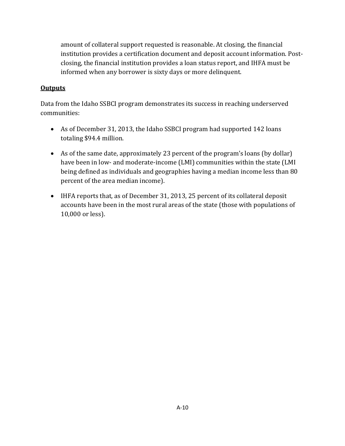amount of collateral support requested is reasonable. At closing, the financial institution provides a certification document and deposit account information. Postclosing, the financial institution provides a loan status report, and IHFA must be informed when any borrower is sixty days or more delinquent.

## **Outputs**

Data from the Idaho SSBCI program demonstrates its success in reaching underserved communities: 

- As of December 31, 2013, the Idaho SSBCI program had supported 142 loans totaling \$94.4 million.
- As of the same date, approximately 23 percent of the program's loans (by dollar) have been in low- and moderate-income (LMI) communities within the state (LMI being defined as individuals and geographies having a median income less than 80 percent of the area median income).
- IHFA reports that, as of December 31, 2013, 25 percent of its collateral deposit accounts have been in the most rural areas of the state (those with populations of 10,000 or less).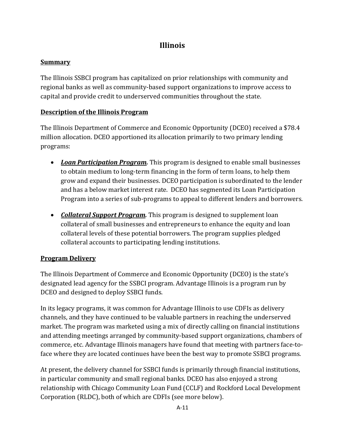# **Illinois**

## **Summary**

The Illinois SSBCI program has capitalized on prior relationships with community and regional banks as well as community-based support organizations to improve access to capital and provide credit to underserved communities throughout the state.

## **Description of the Illinois Program**

The Illinois Department of Commerce and Economic Opportunity (DCEO) received a \$78.4 million allocation. DCEO apportioned its allocation primarily to two primary lending programs: 

- Loan Participation Program. This program is designed to enable small businesses to obtain medium to long-term financing in the form of term loans, to help them grow and expand their businesses. DCEO participation is subordinated to the lender and has a below market interest rate. DCEO has segmented its Loan Participation Program into a series of sub-programs to appeal to different lenders and borrowers.
- *Collateral Support Program*. This program is designed to supplement loan collateral of small businesses and entrepreneurs to enhance the equity and loan collateral levels of these potential borrowers. The program supplies pledged collateral accounts to participating lending institutions.

## **Program Delivery**

The Illinois Department of Commerce and Economic Opportunity (DCEO) is the state's designated lead agency for the SSBCI program. Advantage Illinois is a program run by DCEO and designed to deploy SSBCI funds.

In its legacy programs, it was common for Advantage Illinois to use CDFIs as delivery channels, and they have continued to be valuable partners in reaching the underserved market. The program was marketed using a mix of directly calling on financial institutions and attending meetings arranged by community-based support organizations, chambers of commerce, etc. Advantage Illinois managers have found that meeting with partners face-toface where they are located continues have been the best way to promote SSBCI programs.

At present, the delivery channel for SSBCI funds is primarily through financial institutions, in particular community and small regional banks. DCEO has also enjoyed a strong relationship with Chicago Community Loan Fund (CCLF) and Rockford Local Development Corporation (RLDC), both of which are CDFIs (see more below).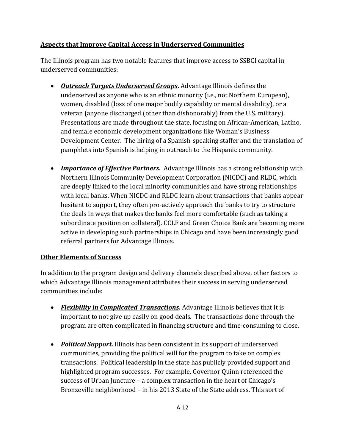## **Aspects that Improve Capital Access in Underserved Communities**

The Illinois program has two notable features that improve access to SSBCI capital in underserved communities:

- *Outreach Targets Underserved Groups*. Advantage Illinois defines the underserved as anyone who is an ethnic minority (i.e., not Northern European), women, disabled (loss of one major bodily capability or mental disability), or a veteran (anyone discharged (other than dishonorably) from the U.S. military). Presentations are made throughout the state, focusing on African-American, Latino, and female economic development organizations like Woman's Business Development Center. The hiring of a Spanish-speaking staffer and the translation of pamphlets into Spanish is helping in outreach to the Hispanic community.
- *Importance of Effective Partners.* Advantage Illinois has a strong relationship with Northern Illinois Community Development Corporation (NICDC) and RLDC, which are deeply linked to the local minority communities and have strong relationships with local banks. When NICDC and RLDC learn about transactions that banks appear hesitant to support, they often pro-actively approach the banks to try to structure the deals in ways that makes the banks feel more comfortable (such as taking a subordinate position on collateral). CCLF and Green Choice Bank are becoming more active in developing such partnerships in Chicago and have been increasingly good referral partners for Advantage Illinois.

## **Other Elements of Success**

In addition to the program design and delivery channels described above, other factors to which Advantage Illinois management attributes their success in serving underserved communities include:

- Flexibility in *Complicated Transactions.* Advantage Illinois believes that it is important to not give up easily on good deals. The transactions done through the program are often complicated in financing structure and time-consuming to close.
- Political *Support.* Illinois has been consistent in its support of underserved communities, providing the political will for the program to take on complex transactions. Political leadership in the state has publicly provided support and highlighted program successes. For example, Governor Quinn referenced the success of Urban Juncture - a complex transaction in the heart of Chicago's Bronzeville neighborhood – in his 2013 State of the State address. This sort of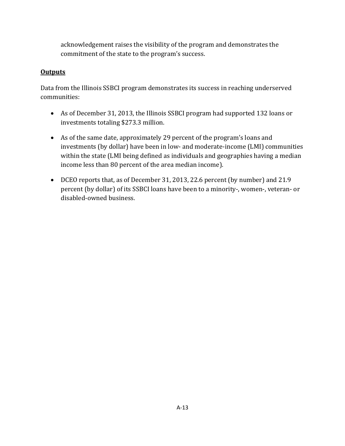acknowledgement raises the visibility of the program and demonstrates the commitment of the state to the program's success.

## **Outputs**

Data from the Illinois SSBCI program demonstrates its success in reaching underserved communities: 

- As of December 31, 2013, the Illinois SSBCI program had supported 132 loans or investments totaling \$273.3 million.
- As of the same date, approximately 29 percent of the program's loans and investments (by dollar) have been in low- and moderate-income (LMI) communities within the state (LMI being defined as individuals and geographies having a median income less than 80 percent of the area median income).
- DCEO reports that, as of December 31, 2013, 22.6 percent (by number) and 21.9 percent (by dollar) of its SSBCI loans have been to a minority-, women-, veteran- or disabled-owned business.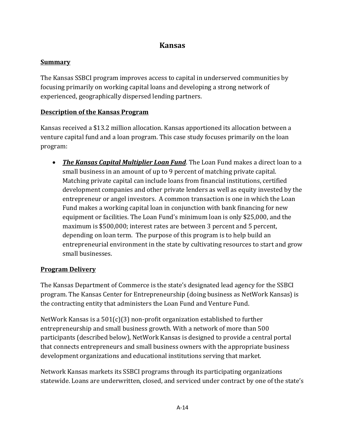## **Kansas**

## **Summary**

The Kansas SSBCI program improves access to capital in underserved communities by focusing primarily on working capital loans and developing a strong network of experienced, geographically dispersed lending partners.

## **Description of the Kansas Program**

Kansas received a \$13.2 million allocation. Kansas apportioned its allocation between a venture capital fund and a loan program. This case study focuses primarily on the loan program: 

• The Kansas *Capital Multiplier Loan Fund*. The Loan Fund makes a direct loan to a small business in an amount of up to 9 percent of matching private capital. Matching private capital can include loans from financial institutions, certified development companies and other private lenders as well as equity invested by the entrepreneur or angel investors. A common transaction is one in which the Loan Fund makes a working capital loan in conjunction with bank financing for new equipment or facilities. The Loan Fund's minimum loan is only \$25,000, and the maximum is \$500,000; interest rates are between 3 percent and 5 percent, depending on loan term. The purpose of this program is to help build an entrepreneurial environment in the state by cultivating resources to start and grow small businesses.

## **Program Delivery**

The Kansas Department of Commerce is the state's designated lead agency for the SSBCI program. The Kansas Center for Entrepreneurship (doing business as NetWork Kansas) is the contracting entity that administers the Loan Fund and Venture Fund.

NetWork Kansas is a  $501(c)(3)$  non-profit organization established to further entrepreneurship and small business growth. With a network of more than 500 participants (described below), NetWork Kansas is designed to provide a central portal that connects entrepreneurs and small business owners with the appropriate business development organizations and educational institutions serving that market.

Network Kansas markets its SSBCI programs through its participating organizations statewide. Loans are underwritten, closed, and serviced under contract by one of the state's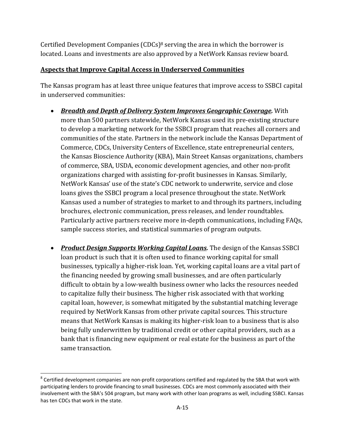Certified Development Companies  $(CDCs)^8$  serving the area in which the borrower is located. Loans and investments are also approved by a NetWork Kansas review board.

## **Aspects that Improve Capital Access in Underserved Communities**

The Kansas program has at least three unique features that improve access to SSBCI capital in underserved communities:

- *Breadth and Depth of Delivery System Improves Geographic Coverage.* With more than 500 partners statewide, NetWork Kansas used its pre-existing structure to develop a marketing network for the SSBCI program that reaches all corners and communities of the state. Partners in the network include the Kansas Department of Commerce, CDCs, University Centers of Excellence, state entrepreneurial centers, the Kansas Bioscience Authority (KBA), Main Street Kansas organizations, chambers of commerce, SBA, USDA, economic development agencies, and other non-profit organizations charged with assisting for-profit businesses in Kansas. Similarly, NetWork Kansas' use of the state's CDC network to underwrite, service and close loans gives the SSBCI program a local presence throughout the state. NetWork Kansas used a number of strategies to market to and through its partners, including brochures, electronic communication, press releases, and lender roundtables. Particularly active partners receive more in-depth communications, including FAQs, sample success stories, and statistical summaries of program outputs.
- Product *Design Supports Working Capital Loans*. The design of the Kansas SSBCI loan product is such that it is often used to finance working capital for small businesses, typically a higher-risk loan. Yet, working capital loans are a vital part of the financing needed by growing small businesses, and are often particularly difficult to obtain by a low-wealth business owner who lacks the resources needed to capitalize fully their business. The higher risk associated with that working capital loan, however, is somewhat mitigated by the substantial matching leverage required by NetWork Kansas from other private capital sources. This structure means that NetWork Kansas is making its higher-risk loan to a business that is also being fully underwritten by traditional credit or other capital providers, such as a bank that is financing new equipment or real estate for the business as part of the same transaction.

 $8$  Certified development companies are non-profit corporations certified and regulated by the SBA that work with participating lenders to provide financing to small businesses. CDCs are most commonly associated with their involvement with the SBA's 504 program, but many work with other loan programs as well, including SSBCI. Kansas has ten CDCs that work in the state.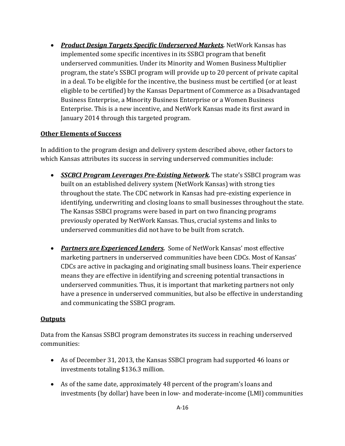*Product Design Targets Specific Underserved Markets.* NetWork Kansas has implemented some specific incentives in its SSBCI program that benefit underserved communities. Under its Minority and Women Business Multiplier program, the state's SSBCI program will provide up to 20 percent of private capital in a deal. To be eligible for the incentive, the business must be certified (or at least eligible to be certified) by the Kansas Department of Commerce as a Disadvantaged Business Enterprise, a Minority Business Enterprise or a Women Business Enterprise. This is a new incentive, and NetWork Kansas made its first award in January 2014 through this targeted program.

## **Other Elements of Success**

In addition to the program design and delivery system described above, other factors to which Kansas attributes its success in serving underserved communities include:

- **SSCBCI Program Leverages Pre-Existing Network.** The state's SSBCI program was built on an established delivery system (NetWork Kansas) with strong ties throughout the state. The CDC network in Kansas had pre-existing experience in identifying, underwriting and closing loans to small businesses throughout the state. The Kansas SSBCI programs were based in part on two financing programs previously operated by NetWork Kansas. Thus, crucial systems and links to underserved communities did not have to be built from scratch.
- Partners are *Experienced Lenders*. Some of NetWork Kansas' most effective marketing partners in underserved communities have been CDCs. Most of Kansas' CDCs are active in packaging and originating small business loans. Their experience means they are effective in identifying and screening potential transactions in underserved communities. Thus, it is important that marketing partners not only have a presence in underserved communities, but also be effective in understanding and communicating the SSBCI program.

#### **Outputs**

Data from the Kansas SSBCI program demonstrates its success in reaching underserved communities: 

- As of December 31, 2013, the Kansas SSBCI program had supported 46 loans or investments totaling \$136.3 million.
- As of the same date, approximately 48 percent of the program's loans and investments (by dollar) have been in low- and moderate-income (LMI) communities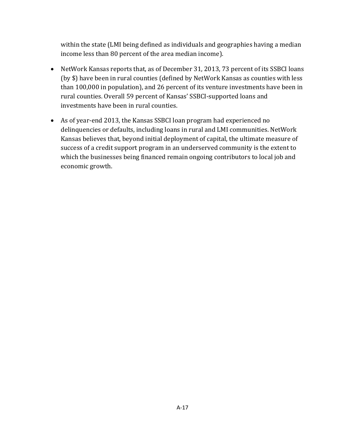within the state (LMI being defined as individuals and geographies having a median income less than 80 percent of the area median income).

- NetWork Kansas reports that, as of December 31, 2013, 73 percent of its SSBCI loans (by \$) have been in rural counties (defined by NetWork Kansas as counties with less than 100,000 in population), and 26 percent of its venture investments have been in rural counties. Overall 59 percent of Kansas' SSBCI-supported loans and investments have been in rural counties.
- As of year-end 2013, the Kansas SSBCI loan program had experienced no delinquencies or defaults, including loans in rural and LMI communities. NetWork Kansas believes that, beyond initial deployment of capital, the ultimate measure of success of a credit support program in an underserved community is the extent to which the businesses being financed remain ongoing contributors to local job and economic growth.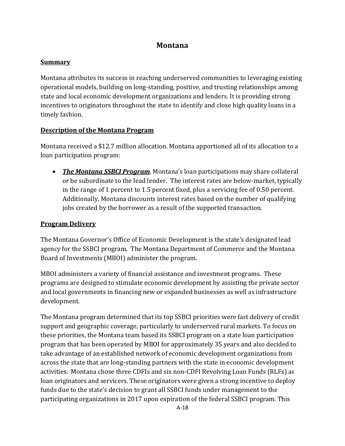## **Montana**

#### **Summary**

Montana attributes its success in reaching underserved communities to leveraging existing operational models, building on long-standing, positive, and trusting relationships among state and local economic development organizations and lenders. It is providing strong incentives to originators throughout the state to identify and close high quality loans in a timely fashion.

#### **Description of the Montana Program**

Montana received a \$12.7 million allocation. Montana apportioned all of its allocation to a loan participation program:

• The Montana **SSBCI Program**. Montana's loan participations may share collateral or be subordinate to the lead lender. The interest rates are below-market, typically in the range of 1 percent to 1.5 percent fixed, plus a servicing fee of 0.50 percent. Additionally, Montana discounts interest rates based on the number of qualifying jobs created by the borrower as a result of the supported transaction.

#### **Program Delivery**

The Montana Governor's Office of Economic Development is the state's designated lead agency for the SSBCI program. The Montana Department of Commerce and the Montana Board of Investments (MBOI) administer the program.

MBOI administers a variety of financial assistance and investment programs. These programs are designed to stimulate economic development by assisting the private sector and local governments in financing new or expanded businesses as well as infrastructure development. 

The Montana program determined that its top SSBCI priorities were fast delivery of credit support and geographic coverage, particularly to underserved rural markets. To focus on these priorities, the Montana team based its SSBCI program on a state loan participation program that has been operated by MBOI for approximately 35 years and also decided to take advantage of an established network of economic development organizations from across the state that are long-standing partners with the state in economic development activities. Montana chose three CDFIs and six non-CDFI Revolving Loan Funds (RLFs) as loan originators and servicers. These originators were given a strong incentive to deploy funds due to the state's decision to grant all SSBCI funds under management to the participating organizations in 2017 upon expiration of the federal SSBCI program. This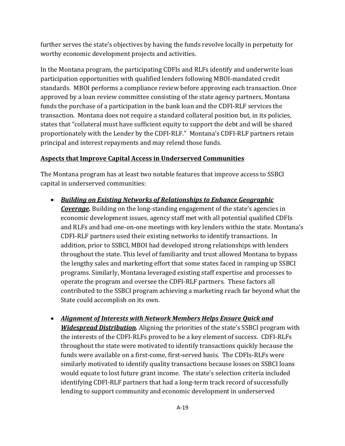further serves the state's objectives by having the funds revolve locally in perpetuity for worthy economic development projects and activities.

In the Montana program, the participating CDFIs and RLFs identify and underwrite loan participation opportunities with qualified lenders following MBOI-mandated credit standards. MBOI performs a compliance review before approving each transaction. Once approved by a loan review committee consisting of the state agency partners, Montana funds the purchase of a participation in the bank loan and the CDFI-RLF services the transaction. Montana does not require a standard collateral position but, in its policies, states that "collateral must have sufficient equity to support the debt and will be shared proportionately with the Lender by the CDFI-RLF." Montana's CDFI-RLF partners retain principal and interest repayments and may relend those funds.

## **Aspects that Improve Capital Access in Underserved Communities**

The Montana program has at least two notable features that improve access to SSBCI capital in underserved communities:

- *Building on Existing Networks of Relationships to Enhance Geographic* **Coverage.** Building on the long-standing engagement of the state's agencies in economic development issues, agency staff met with all potential qualified CDFIs and RLFs and had one-on-one meetings with key lenders within the state. Montana's CDFI-RLF partners used their existing networks to identify transactions. In addition, prior to SSBCI, MBOI had developed strong relationships with lenders throughout the state. This level of familiarity and trust allowed Montana to bypass the lengthy sales and marketing effort that some states faced in ramping up SSBCI programs. Similarly, Montana leveraged existing staff expertise and processes to operate the program and oversee the CDFI-RLF partners. These factors all contributed to the SSBCI program achieving a marketing reach far beyond what the State could accomplish on its own.
- *Alignment of Interests with Network Members Helps Ensure Quick and Widespread Distribution.* Aligning the priorities of the state's SSBCI program with the interests of the CDFI-RLFs proved to be a key element of success. CDFI-RLFs throughout the state were motivated to identify transactions quickly because the funds were available on a first-come, first-served basis. The CDFIs-RLFs were similarly motivated to identify quality transactions because losses on SSBCI loans would equate to lost future grant income. The state's selection criteria included identifying CDFI-RLF partners that had a long-term track record of successfully lending to support community and economic development in underserved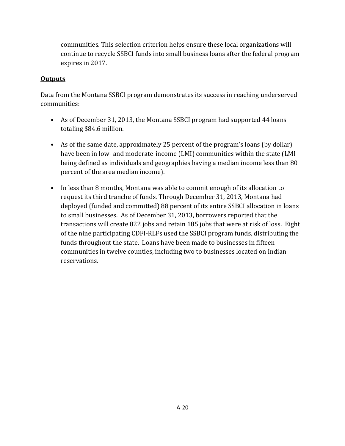communities. This selection criterion helps ensure these local organizations will continue to recycle SSBCI funds into small business loans after the federal program expires in 2017.

## **Outputs**

Data from the Montana SSBCI program demonstrates its success in reaching underserved communities: 

- As of December 31, 2013, the Montana SSBCI program had supported 44 loans totaling \$84.6 million.
- As of the same date, approximately 25 percent of the program's loans (by dollar) have been in low- and moderate-income (LMI) communities within the state (LMI being defined as individuals and geographies having a median income less than 80 percent of the area median income).
- In less than 8 months, Montana was able to commit enough of its allocation to request its third tranche of funds. Through December 31, 2013, Montana had deployed (funded and committed) 88 percent of its entire SSBCI allocation in loans to small businesses. As of December 31, 2013, borrowers reported that the transactions will create 822 jobs and retain 185 jobs that were at risk of loss. Eight of the nine participating CDFI-RLFs used the SSBCI program funds, distributing the funds throughout the state. Loans have been made to businesses in fifteen communities in twelve counties, including two to businesses located on Indian reservations.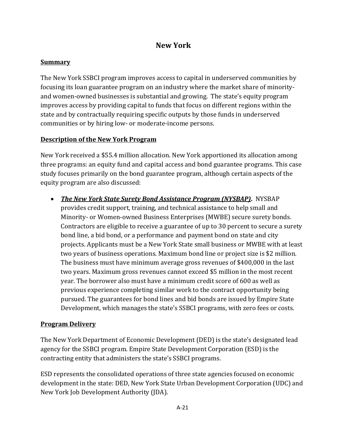## **New York**

## **Summary**

The New York SSBCI program improves access to capital in underserved communities by focusing its loan guarantee program on an industry where the market share of minorityand women-owned businesses is substantial and growing. The state's equity program improves access by providing capital to funds that focus on different regions within the state and by contractually requiring specific outputs by those funds in underserved communities or by hiring low- or moderate-income persons.

## **Description of the New York Program**

New York received a \$55.4 million allocation. New York apportioned its allocation among three programs: an equity fund and capital access and bond guarantee programs. This case study focuses primarily on the bond guarantee program, although certain aspects of the equity program are also discussed:

 *The New York State Surety Bond Assistance Program (NYSBAP)***.** NYSBAP provides credit support, training, and technical assistance to help small and Minority- or Women-owned Business Enterprises (MWBE) secure surety bonds. Contractors are eligible to receive a guarantee of up to 30 percent to secure a surety bond line, a bid bond, or a performance and payment bond on state and city projects. Applicants must be a New York State small business or MWBE with at least two years of business operations. Maximum bond line or project size is \$2 million. The business must have minimum average gross revenues of  $$400,000$  in the last two years. Maximum gross revenues cannot exceed \$5 million in the most recent year. The borrower also must have a minimum credit score of 600 as well as previous experience completing similar work to the contract opportunity being pursued. The guarantees for bond lines and bid bonds are issued by Empire State Development, which manages the state's SSBCI programs, with zero fees or costs.

## **Program Delivery**

The New York Department of Economic Development (DED) is the state's designated lead agency for the SSBCI program. Empire State Development Corporation (ESD) is the contracting entity that administers the state's SSBCI programs.

ESD represents the consolidated operations of three state agencies focused on economic development in the state: DED, New York State Urban Development Corporation (UDC) and New York Job Development Authority (JDA).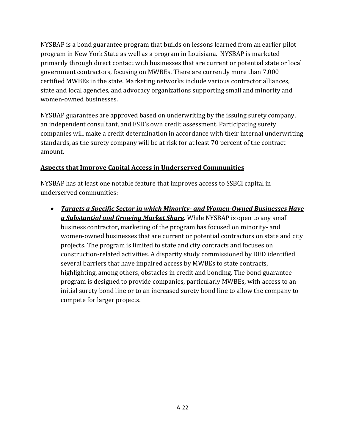NYSBAP is a bond guarantee program that builds on lessons learned from an earlier pilot program in New York State as well as a program in Louisiana. NYSBAP is marketed primarily through direct contact with businesses that are current or potential state or local government contractors, focusing on MWBEs. There are currently more than 7,000 certified MWBEs in the state. Marketing networks include various contractor alliances, state and local agencies, and advocacy organizations supporting small and minority and women-owned businesses.

NYSBAP guarantees are approved based on underwriting by the issuing surety company, an independent consultant, and ESD's own credit assessment. Participating surety companies will make a credit determination in accordance with their internal underwriting standards, as the surety company will be at risk for at least 70 percent of the contract amount. 

## **Aspects that Improve Capital Access in Underserved Communities**

NYSBAP has at least one notable feature that improves access to SSBCI capital in underserved communities:

 *Targets a Specific Sector in which Minority‐ and Women‐Owned Businesses Have* **a Substantial and Growing Market Share**. While NYSBAP is open to any small business contractor, marketing of the program has focused on minority- and women-owned businesses that are current or potential contractors on state and city projects. The program is limited to state and city contracts and focuses on construction-related activities. A disparity study commissioned by DED identified several barriers that have impaired access by MWBEs to state contracts, highlighting, among others, obstacles in credit and bonding. The bond guarantee program is designed to provide companies, particularly MWBEs, with access to an initial surety bond line or to an increased surety bond line to allow the company to compete for larger projects.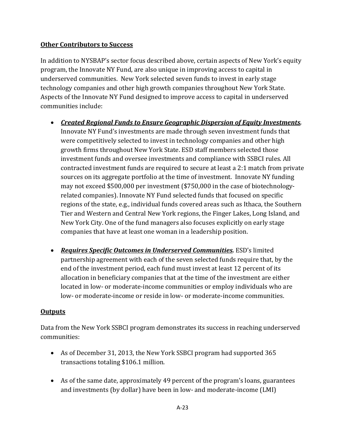## **Other Contributors to Success**

In addition to NYSBAP's sector focus described above, certain aspects of New York's equity program, the Innovate NY Fund, are also unique in improving access to capital in underserved communities. New York selected seven funds to invest in early stage technology companies and other high growth companies throughout New York State. Aspects of the Innovate NY Fund designed to improve access to capital in underserved communities include:

- *Created Regional Funds to Ensure Geographic Dispersion of Equity Investments.* Innovate NY Fund's investments are made through seven investment funds that were competitively selected to invest in technology companies and other high growth firms throughout New York State. ESD staff members selected those investment funds and oversee investments and compliance with SSBCI rules. All contracted investment funds are required to secure at least a  $2:1$  match from private sources on its aggregate portfolio at the time of investment. Innovate NY funding may not exceed \$500,000 per investment (\$750,000 in the case of biotechnologyrelated companies). Innovate NY Fund selected funds that focused on specific regions of the state, e.g., individual funds covered areas such as Ithaca, the Southern Tier and Western and Central New York regions, the Finger Lakes, Long Island, and New York City. One of the fund managers also focuses explicitly on early stage companies that have at least one woman in a leadership position.
- *Requires Specific Outcomes in Underserved Communities.* ESD's limited partnership agreement with each of the seven selected funds require that, by the end of the investment period, each fund must invest at least 12 percent of its allocation in beneficiary companies that at the time of the investment are either located in low- or moderate-income communities or employ individuals who are low- or moderate-income or reside in low- or moderate-income communities.

## **Outputs**

Data from the New York SSBCI program demonstrates its success in reaching underserved communities: 

- As of December 31, 2013, the New York SSBCI program had supported 365 transactions totaling \$106.1 million.
- As of the same date, approximately 49 percent of the program's loans, guarantees and investments (by dollar) have been in low- and moderate-income (LMI)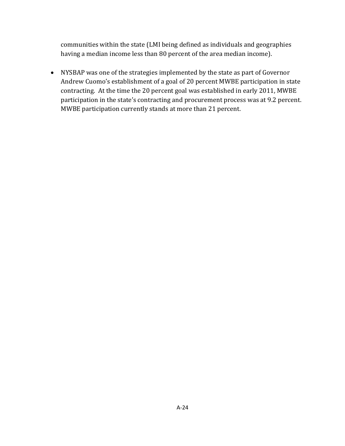communities within the state (LMI being defined as individuals and geographies having a median income less than 80 percent of the area median income).

• NYSBAP was one of the strategies implemented by the state as part of Governor Andrew Cuomo's establishment of a goal of 20 percent MWBE participation in state contracting. At the time the 20 percent goal was established in early 2011, MWBE participation in the state's contracting and procurement process was at 9.2 percent. MWBE participation currently stands at more than 21 percent.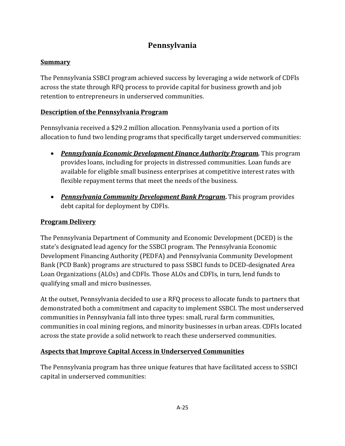# **Pennsylvania**

## **Summary**

The Pennsylvania SSBCI program achieved success by leveraging a wide network of CDFIs across the state through RFQ process to provide capital for business growth and job retention to entrepreneurs in underserved communities.

## **Description of the Pennsylvania Program**

Pennsylvania received a \$29.2 million allocation. Pennsylvania used a portion of its allocation to fund two lending programs that specifically target underserved communities:

- **Pennsylvania** *Economic Development Finance Authority Program***.** This program provides loans, including for projects in distressed communities. Loan funds are available for eligible small business enterprises at competitive interest rates with flexible repayment terms that meet the needs of the business.
- Pennsylvania Community Development Bank Program. This program provides debt capital for deployment by CDFIs.

## **Program Delivery**

The Pennsylvania Department of Community and Economic Development (DCED) is the state's designated lead agency for the SSBCI program. The Pennsylvania Economic Development Financing Authority (PEDFA) and Pennsylvania Community Development Bank (PCD Bank) programs are structured to pass SSBCI funds to DCED-designated Area Loan Organizations (ALOs) and CDFIs. Those ALOs and CDFIs, in turn, lend funds to qualifying small and micro businesses.

At the outset, Pennsylvania decided to use a RFQ process to allocate funds to partners that demonstrated both a commitment and capacity to implement SSBCI. The most underserved communities in Pennsylvania fall into three types: small, rural farm communities, communities in coal mining regions, and minority businesses in urban areas. CDFIs located across the state provide a solid network to reach these underserved communities.

## **Aspects that Improve Capital Access in Underserved Communities**

The Pennsylvania program has three unique features that have facilitated access to SSBCI capital in underserved communities: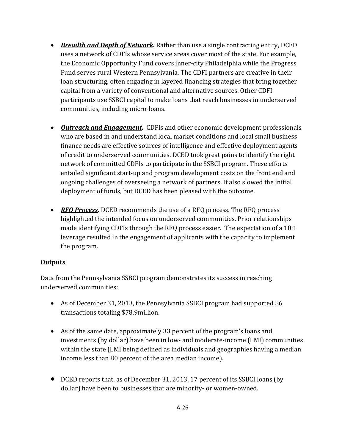- Breadth and Depth of Network. Rather than use a single contracting entity, DCED uses a network of CDFIs whose service areas cover most of the state. For example, the Economic Opportunity Fund covers inner-city Philadelphia while the Progress Fund serves rural Western Pennsylvania. The CDFI partners are creative in their loan structuring, often engaging in layered financing strategies that bring together capital from a variety of conventional and alternative sources. Other CDFI participants use SSBCI capital to make loans that reach businesses in underserved communities, including micro-loans.
- Outreach and *Engagement.* CDFIs and other economic development professionals who are based in and understand local market conditions and local small business finance needs are effective sources of intelligence and effective deployment agents of credit to underserved communities. DCED took great pains to identify the right network of committed CDFIs to participate in the SSBCI program. These efforts entailed significant start-up and program development costs on the front end and ongoing challenges of overseeing a network of partners. It also slowed the initial deployment of funds, but DCED has been pleased with the outcome.
- RFQ Process. DCED recommends the use of a RFQ process. The RFQ process highlighted the intended focus on underserved communities. Prior relationships made identifying CDFIs through the RFQ process easier. The expectation of a 10:1 leverage resulted in the engagement of applicants with the capacity to implement the program.

## **Outputs**

Data from the Pennsylvania SSBCI program demonstrates its success in reaching underserved communities:

- As of December 31, 2013, the Pennsylvania SSBCI program had supported 86 transactions totaling \$78.9million.
- As of the same date, approximately 33 percent of the program's loans and investments (by dollar) have been in low- and moderate-income (LMI) communities within the state (LMI being defined as individuals and geographies having a median income less than 80 percent of the area median income).
- DCED reports that, as of December 31, 2013, 17 percent of its SSBCI loans (by dollar) have been to businesses that are minority- or women-owned.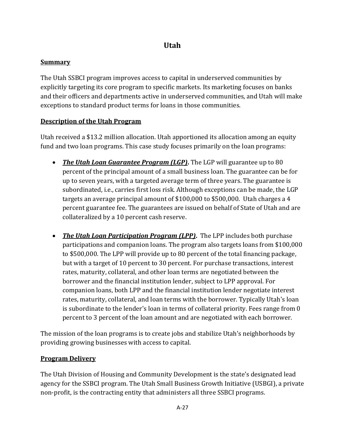# **Utah**

## **Summary**

The Utah SSBCI program improves access to capital in underserved communities by explicitly targeting its core program to specific markets. Its marketing focuses on banks and their officers and departments active in underserved communities, and Utah will make exceptions to standard product terms for loans in those communities.

## **Description of the Utah Program**

Utah received a \$13.2 million allocation. Utah apportioned its allocation among an equity fund and two loan programs. This case study focuses primarily on the loan programs:

- The Utah *Loan Guarantee Program (LGP)*. The LGP will guarantee up to 80 percent of the principal amount of a small business loan. The guarantee can be for up to seven years, with a targeted average term of three years. The guarantee is subordinated, i.e., carries first loss risk. Although exceptions can be made, the LGP targets an average principal amount of  $$100,000$  to  $$500,000$ . Utah charges a 4 percent guarantee fee. The guarantees are issued on behalf of State of Utah and are collateralized by a 10 percent cash reserve.
- The Utah *Loan Participation Program (LPP)*. The LPP includes both purchase participations and companion loans. The program also targets loans from \$100,000 to \$500,000. The LPP will provide up to 80 percent of the total financing package, but with a target of 10 percent to 30 percent. For purchase transactions, interest rates, maturity, collateral, and other loan terms are negotiated between the borrower and the financial institution lender, subject to LPP approval. For companion loans, both LPP and the financial institution lender negotiate interest rates, maturity, collateral, and loan terms with the borrower. Typically Utah's loan is subordinate to the lender's loan in terms of collateral priority. Fees range from 0 percent to 3 percent of the loan amount and are negotiated with each borrower.

The mission of the loan programs is to create jobs and stabilize Utah's neighborhoods by providing growing businesses with access to capital.

## **Program Delivery**

The Utah Division of Housing and Community Development is the state's designated lead agency for the SSBCI program. The Utah Small Business Growth Initiative (USBGI), a private non-profit, is the contracting entity that administers all three SSBCI programs.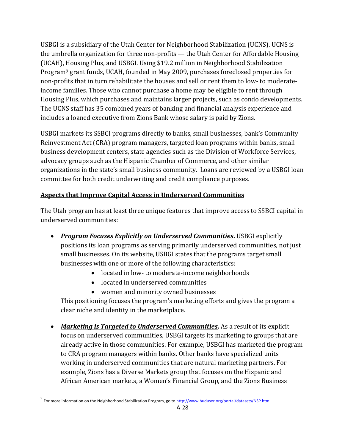USBGI is a subsidiary of the Utah Center for Neighborhood Stabilization (UCNS). UCNS is the umbrella organization for three non-profits — the Utah Center for Affordable Housing (UCAH), Housing Plus, and USBGI. Using \$19.2 million in Neighborhood Stabilization Program<sup>9</sup> grant funds, UCAH, founded in May 2009, purchases foreclosed properties for non-profits that in turn rehabilitate the houses and sell or rent them to low- to moderateincome families. Those who cannot purchase a home may be eligible to rent through Housing Plus, which purchases and maintains larger projects, such as condo developments. The UCNS staff has 35 combined years of banking and financial analysis experience and includes a loaned executive from Zions Bank whose salary is paid by Zions.

USBGI markets its SSBCI programs directly to banks, small businesses, bank's Community Reinvestment Act (CRA) program managers, targeted loan programs within banks, small business development centers, state agencies such as the Division of Workforce Services, advocacy groups such as the Hispanic Chamber of Commerce, and other similar organizations in the state's small business community. Loans are reviewed by a USBGI loan committee for both credit underwriting and credit compliance purposes.

## **Aspects that Improve Capital Access in Underserved Communities**

The Utah program has at least three unique features that improve access to SSBCI capital in underserved communities:

- *Program Focuses Explicitly on Underserved Communities***.** USBGI explicitly positions its loan programs as serving primarily underserved communities, not just small businesses. On its website, USBGI states that the programs target small businesses with one or more of the following characteristics:
	- located in low- to moderate-income neighborhoods
	- located in underserved communities
	- women and minority owned businesses

This positioning focuses the program's marketing efforts and gives the program a clear niche and identity in the marketplace.

• Marketing is Targeted to Underserved *Communities*. As a result of its explicit focus on underserved communities, USBGI targets its marketing to groups that are already active in those communities. For example, USBGI has marketed the program to CRA program managers within banks. Other banks have specialized units working in underserved communities that are natural marketing partners. For example, Zions has a Diverse Markets group that focuses on the Hispanic and African American markets, a Women's Financial Group, and the Zions Business

<sup>&</sup>lt;sup>9</sup> For more information on the Neighborhood Stabilization Program, go to <u>http://www.huduser.org/portal/datasets/NSP.html</u>.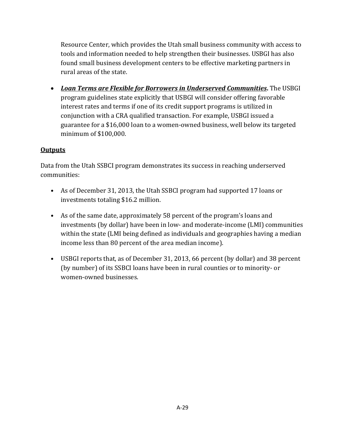Resource Center, which provides the Utah small business community with access to tools and information needed to help strengthen their businesses. USBGI has also found small business development centers to be effective marketing partners in rural areas of the state.

 *Loan Terms are Flexible for Borrowers in Underserved Communities***.** The USBGI program guidelines state explicitly that USBGI will consider offering favorable interest rates and terms if one of its credit support programs is utilized in conjunction with a CRA qualified transaction. For example, USBGI issued a guarantee for a \$16,000 loan to a women-owned business, well below its targeted minimum of \$100,000.

## **Outputs**

Data from the Utah SSBCI program demonstrates its success in reaching underserved communities: 

- As of December 31, 2013, the Utah SSBCI program had supported 17 loans or investments totaling \$16.2 million.
- As of the same date, approximately 58 percent of the program's loans and investments (by dollar) have been in low- and moderate-income (LMI) communities within the state (LMI being defined as individuals and geographies having a median income less than 80 percent of the area median income).
- USBGI reports that, as of December 31, 2013, 66 percent (by dollar) and 38 percent (by number) of its SSBCI loans have been in rural counties or to minority- or women-owned businesses.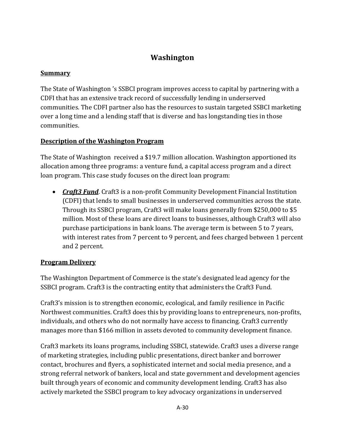# **Washington**

## **Summary**

The State of Washington 's SSBCI program improves access to capital by partnering with a CDFI that has an extensive track record of successfully lending in underserved communities. The CDFI partner also has the resources to sustain targeted SSBCI marketing over a long time and a lending staff that is diverse and has longstanding ties in those communities. 

## **Description of the Washington Program**

The State of Washington received a \$19.7 million allocation. Washington apportioned its allocation among three programs: a venture fund, a capital access program and a direct loan program. This case study focuses on the direct loan program:

• *Craft3 Fund*. Craft3 is a non-profit Community Development Financial Institution (CDFI) that lends to small businesses in underserved communities across the state. Through its SSBCI program, Craft3 will make loans generally from \$250,000 to \$5 million. Most of these loans are direct loans to businesses, although Craft3 will also purchase participations in bank loans. The average term is between 5 to 7 years, with interest rates from 7 percent to 9 percent, and fees charged between 1 percent and 2 percent.

## **Program Delivery**

The Washington Department of Commerce is the state's designated lead agency for the SSBCI program. Craft3 is the contracting entity that administers the Craft3 Fund.

Craft3's mission is to strengthen economic, ecological, and family resilience in Pacific Northwest communities. Craft3 does this by providing loans to entrepreneurs, non-profits, individuals, and others who do not normally have access to financing. Craft3 currently manages more than \$166 million in assets devoted to community development finance.

Craft3 markets its loans programs, including SSBCI, statewide. Craft3 uses a diverse range of marketing strategies, including public presentations, direct banker and borrower contact, brochures and flyers, a sophisticated internet and social media presence, and a strong referral network of bankers, local and state government and development agencies built through years of economic and community development lending. Craft3 has also actively marketed the SSBCI program to key advocacy organizations in underserved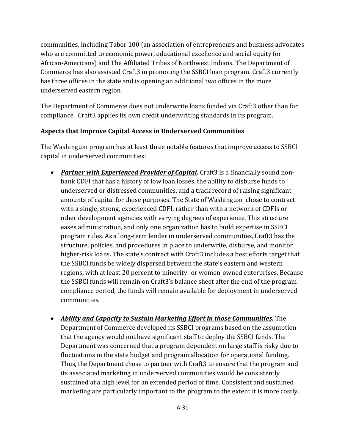communities, including Tabor 100 (an association of entrepreneurs and business advocates who are committed to economic power, educational excellence and social equity for African-Americans) and The Affiliated Tribes of Northwest Indians. The Department of Commerce has also assisted Craft3 in promoting the SSBCI loan program. Craft3 currently has three offices in the state and is opening an additional two offices in the more underserved eastern region.

The Department of Commerce does not underwrite loans funded via Craft3 other than for compliance. Craft3 applies its own credit underwriting standards in its program. 

#### **Aspects that Improve Capital Access in Underserved Communities**

The Washington program has at least three notable features that improve access to SSBCI capital in underserved communities:

- Partner with *Experienced Provider of Capital*. Craft3 is a financially sound nonbank CDFI that has a history of low loan losses, the ability to disburse funds to underserved or distressed communities, and a track record of raising significant amounts of capital for those purposes. The State of Washington chose to contract with a single, strong, experienced CDFI, rather than with a network of CDFIs or other development agencies with varying degrees of experience. This structure eases administration, and only one organization has to build expertise in SSBCI program rules. As a long-term lender in underserved communities, Craft3 has the structure, policies, and procedures in place to underwrite, disburse, and monitor higher-risk loans. The state's contract with Craft3 includes a best efforts target that the SSBCI funds be widely dispersed between the state's eastern and western regions, with at least 20 percent to minority- or women-owned enterprises. Because the SSBCI funds will remain on Craft3's balance sheet after the end of the program compliance period, the funds will remain available for deployment in underserved communities.
- *Ability and Capacity to Sustain Marketing Effort in those Communities.* The Department of Commerce developed its SSBCI programs based on the assumption that the agency would not have significant staff to deploy the SSBCI funds. The Department was concerned that a program dependent on large staff is risky due to fluctuations in the state budget and program allocation for operational funding. Thus, the Department chose to partner with Craft3 to ensure that the program and its associated marketing in underserved communities would be consistently sustained at a high level for an extended period of time. Consistent and sustained marketing are particularly important to the program to the extent it is more costly,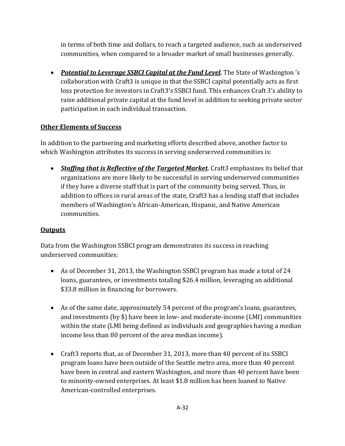in terms of both time and dollars, to reach a targeted audience, such as underserved communities, when compared to a broader market of small businesses generally.

• Potential to *Leverage SSBCI Capital at the Fund Level*. The State of Washington 's collaboration with Craft3 is unique in that the SSBCI capital potentially acts as first loss protection for investors in Craft3's SSBCI fund. This enhances Craft 3's ability to raise additional private capital at the fund level in addition to seeking private sector participation in each individual transaction.

## **Other Elements of Success**

In addition to the partnering and marketing efforts described above, another factor to which Washington attributes its success in serving underserved communities is:

• Staffing that is Reflective of the Targeted Market. Craft3 emphasizes its belief that organizations are more likely to be successful in serving underserved communities if they have a diverse staff that is part of the community being served. Thus, in addition to offices in rural areas of the state, Craft3 has a lending staff that includes members of Washington's African-American, Hispanic, and Native American communities. 

## **Outputs**

Data from the Washington SSBCI program demonstrates its success in reaching underserved communities:

- As of December 31, 2013, the Washington SSBCI program has made a total of 24 loans, guarantees, or investments totaling \$26.4 million, leveraging an additional \$33.8 million in financing for borrowers.
- As of the same date, approximately 54 percent of the program's loans, guarantees, and investments (by  $\$$ ) have been in low- and moderate-income (LMI) communities within the state (LMI being defined as individuals and geographies having a median income less than 80 percent of the area median income).
- Craft3 reports that, as of December 31, 2013, more than 40 percent of its SSBCI program loans have been outside of the Seattle metro area, more than 40 percent have been in central and eastern Washington, and more than 40 percent have been to minority-owned enterprises. At least \$1.8 million has been loaned to Native American-controlled enterprises.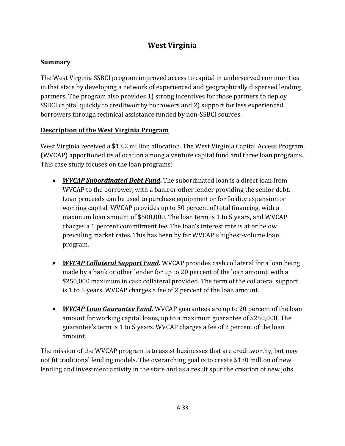# **West Virginia**

## **Summary**

The West Virginia SSBCI program improved access to capital in underserved communities in that state by developing a network of experienced and geographically dispersed lending partners. The program also provides 1) strong incentives for those partners to deploy SSBCI capital quickly to creditworthy borrowers and 2) support for less experienced borrowers through technical assistance funded by non-SSBCI sources.

## **Description of the West Virginia Program**

West Virginia received a \$13.2 million allocation. The West Virginia Capital Access Program (WVCAP) apportioned its allocation among a venture capital fund and three loan programs. This case study focuses on the loan programs:

- *WVCAP Subordinated Debt Fund*. The subordinated loan is a direct loan from WVCAP to the borrower, with a bank or other lender providing the senior debt. Loan proceeds can be used to purchase equipment or for facility expansion or working capital. WVCAP provides up to 50 percent of total financing, with a maximum loan amount of \$500,000. The loan term is 1 to 5 years, and WVCAP charges a 1 percent commitment fee. The loan's interest rate is at or below prevailing market rates. This has been by far WVCAP's highest-volume loan program.
- *WVCAP* **Collateral Support Fund.** WVCAP provides cash collateral for a loan being made by a bank or other lender for up to 20 percent of the loan amount, with a \$250,000 maximum in cash collateral provided. The term of the collateral support is 1 to 5 years. WVCAP charges a fee of 2 percent of the loan amount.
- *WVCAP Loan Guarantee Fund*. WVCAP guarantees are up to 20 percent of the loan amount for working capital loans, up to a maximum guarantee of \$250,000. The guarantee's term is 1 to 5 years. WVCAP charges a fee of 2 percent of the loan amount.

The mission of the WVCAP program is to assist businesses that are creditworthy, but may not fit traditional lending models. The overarching goal is to create \$130 million of new lending and investment activity in the state and as a result spur the creation of new jobs.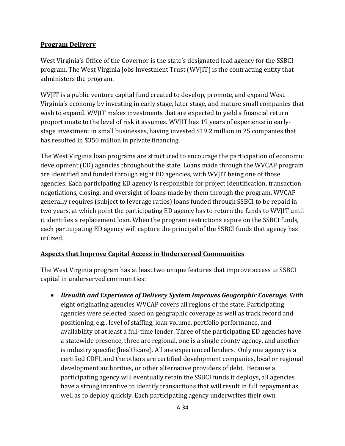## **Program Delivery**

West Virginia's Office of the Governor is the state's designated lead agency for the SSBCI program. The West Virginia Jobs Investment Trust (WVJIT) is the contracting entity that administers the program.

WVJIT is a public venture capital fund created to develop, promote, and expand West Virginia's economy by investing in early stage, later stage, and mature small companies that wish to expand. WVJIT makes investments that are expected to yield a financial return proportionate to the level of risk it assumes. WVJIT has 19 years of experience in earlystage investment in small businesses, having invested \$19.2 million in 25 companies that has resulted in \$350 million in private financing.

The West Virginia loan programs are structured to encourage the participation of economic development (ED) agencies throughout the state. Loans made through the WVCAP program are identified and funded through eight ED agencies, with WVIIT being one of those agencies. Each participating ED agency is responsible for project identification, transaction negotiations, closing, and oversight of loans made by them through the program. WVCAP generally requires (subject to leverage ratios) loans funded through SSBCI to be repaid in two years, at which point the participating ED agency has to return the funds to WVJIT until it identifies a replacement loan. When the program restrictions expire on the SSBCI funds, each participating ED agency will capture the principal of the SSBCI funds that agency has utilized. 

## **Aspects that Improve Capital Access in Underserved Communities**

The West Virginia program has at least two unique features that improve access to SSBCI capital in underserved communities:

 *Breadth and Experience of Delivery System Improves Geographic Coverage.* With eight originating agencies WVCAP covers all regions of the state. Participating agencies were selected based on geographic coverage as well as track record and positioning, e.g., level of staffing, loan volume, portfolio performance, and availability of at least a full-time lender. Three of the participating ED agencies have a statewide presence, three are regional, one is a single county agency, and another is industry specific (healthcare). All are experienced lenders. Only one agency is a certified CDFI, and the others are certified development companies, local or regional development authorities, or other alternative providers of debt. Because a participating agency will eventually retain the SSBCI funds it deploys, all agencies have a strong incentive to identify transactions that will result in full repayment as well as to deploy quickly. Each participating agency underwrites their own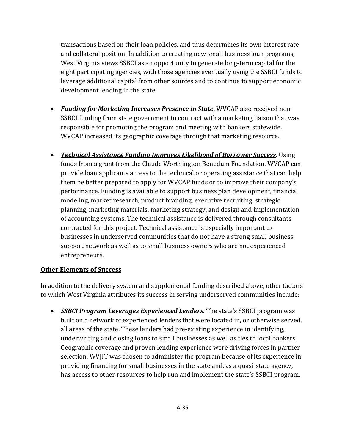transactions based on their loan policies, and thus determines its own interest rate and collateral position. In addition to creating new small business loan programs, West Virginia views SSBCI as an opportunity to generate long-term capital for the eight participating agencies, with those agencies eventually using the SSBCI funds to leverage additional capital from other sources and to continue to support economic development lending in the state.

- **►** *Funding for Marketing Increases Presence in State.* WVCAP also received non-SSBCI funding from state government to contract with a marketing liaison that was responsible for promoting the program and meeting with bankers statewide. WVCAP increased its geographic coverage through that marketing resource.
- *Technical Assistance Funding Improves Likelihood of Borrower Success.* Using funds from a grant from the Claude Worthington Benedum Foundation, WVCAP can provide loan applicants access to the technical or operating assistance that can help them be better prepared to apply for WVCAP funds or to improve their company's performance. Funding is available to support business plan development, financial modeling, market research, product branding, executive recruiting, strategic planning, marketing materials, marketing strategy, and design and implementation of accounting systems. The technical assistance is delivered through consultants contracted for this project. Technical assistance is especially important to businesses in underserved communities that do not have a strong small business support network as well as to small business owners who are not experienced entrepreneurs.

#### **Other Elements of Success**

In addition to the delivery system and supplemental funding described above, other factors to which West Virginia attributes its success in serving underserved communities include:

**• SSBCI Program Leverages Experienced Lenders.** The state's SSBCI program was built on a network of experienced lenders that were located in, or otherwise served, all areas of the state. These lenders had pre-existing experience in identifying, underwriting and closing loans to small businesses as well as ties to local bankers. Geographic coverage and proven lending experience were driving forces in partner selection. WVIIT was chosen to administer the program because of its experience in providing financing for small businesses in the state and, as a quasi-state agency, has access to other resources to help run and implement the state's SSBCI program.